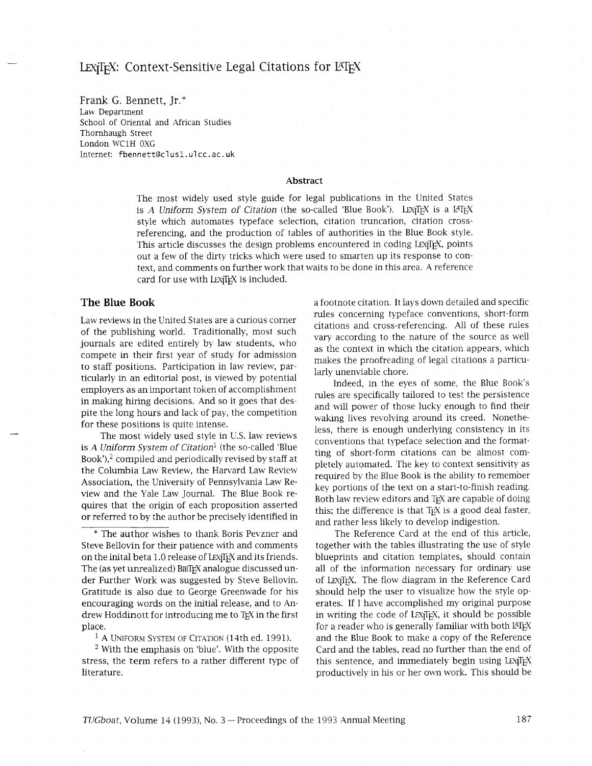Frank G. Bennett, Jr.\* Law Department School of Oriental and African Studies Thornhaugh Street London WClH OXG Internet: **fbennettecl usl. ul** cc. ac. uk

## **Abstract**

The most widely used style guide for legal publications in the United States is A *Uniform System of Citation* (the so-called 'Blue Book'). LEX<sub>I</sub>T<sub>E</sub>X is a L<sup>AT</sup>EX style which automates typeface selection, citation truncation, citation crossreferencing, and the production of tables of authorities in the Blue Book style. This article discusses the design problems encountered in coding LEXiTEX, points out a few of the dirty tricks which were used to smarten up its response to context, and comments on further work that waits to be done in this area. A reference card for use with LEXTFX is included.

## **The Blue Book**

Law reviews in the United States are a curious corner of the publishing world. Traditionally, most such journals are edited entirely by law students, who compete in their first year of study for admission to staff positions. Participation in law review, particularly in an editorial post, is viewed by potential employers as an important token of accomplishment in making hiring decisions. And so it goes that despite the long hours and lack of pay, the competition for these positions is quite intense.

The most widely used style in U.S. law reviews is A *Uniform System of Citation1* (the so-called 'Blue Book'), $2$  compiled and periodically revised by staff at the Columbia Law Review, the Harvard Law Review Association, the University of Pennsylvania Law Review and the Yale Law Journal. The Blue Book requires that the origin of each proposition asserted or referred to by the author be precisely identified in

<sup>1</sup> A UNIFORM SYSTEM OF CITATION (14th ed. 1991).

<sup>2</sup> With the emphasis on 'blue'. With the opposite stress, the term refers to a rather different type of literature.

a footnote citation. It lays down detailed and specific rules concerning typeface conventions, short-form citations and cross-referencing. All of these rules vary according to the nature of the source as well as the context in which the citation appears, which makes the proofreading of legal citations a particularly unenviable chore.

Indeed, in the eyes of some, the Blue Book's rules are specifically tailored to test the persistence and will power of those lucky enough to find their waking lives revolving around its creed. Nonetheless, there is enough underlying consistency in its conventions that typeface selection and the formatting of short-form citations can be almost completely automated. The key to context sensitivity as required by the Blue Book is the ability to remember key portions of the text on a start-to-finish reading. Both law review editors and TEX are capable of doing this; the difference is that T<sub>F</sub>X is a good deal faster, and rather less likely to develop indigestion.

The Reference Card at the end of this article, together with the tables illustrating the use of style blueprints and citation templates, should contain all of the information necessary for ordinary use of LEXITEX. The flow diagram in the Reference Card should help the user to visualize how the style operates. If I have accomplished my original purpose in writing the code of LEX<sub>I</sub>T<sub>E</sub>X, it should be possible for a reader who is generally familiar with both LATEX and the Blue Book to make a copy of the Reference Card and the tables, read no further than the end of this sentence, and immediately begin using LEXTEX productively in his or her own work. This should be

<sup>\*</sup> The author wishes to thank Boris Pevzner and Steve Bellovin for their patience with and comments on the inital beta 1.0 release of LEX<sub>IIF</sub>X and its friends. The (as yet unrealized) BIBTEX analogue discussed under Further Work was suggested by Steve Bellovin. Gratitude is also due to George Greenwade for his encouraging words on the initial release, and to Andrew Hoddinott for introducing me to TFX in the first place.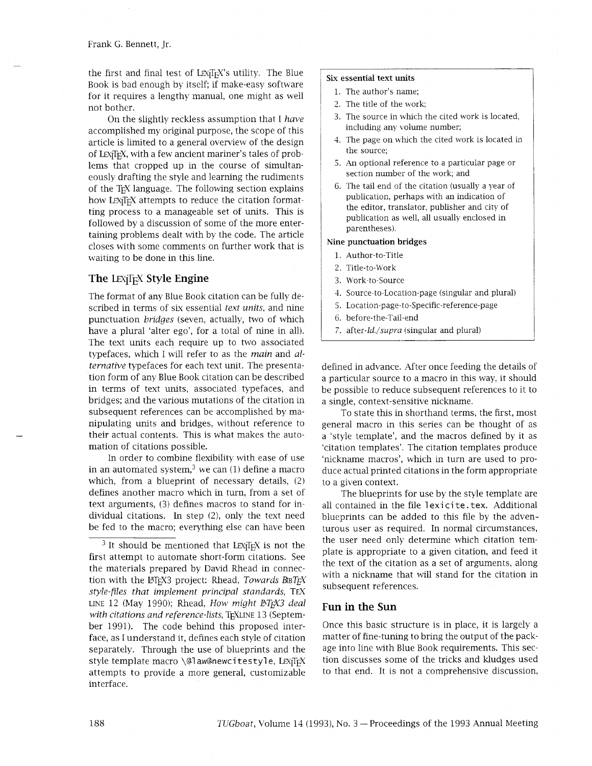the first and final test of LEXTFX's utility. The Blue Book is bad enough by itself; if make-easy software for it requires a lengthy manual, one might as well not bother.

On the slightly reckless assumption that I *have*  accomplished my original purpose, the scope of this article is limited to a general overview of the design of LEX<sub>I</sub>T<sub>F</sub>X, with a few ancient mariner's tales of problems that cropped up in the course of simultaneously drafting the style and learning the rudiments of the TEX language. The following section explains how LEXITEX attempts to reduce the citation formatting process to a manageable set of units. This is followed by a discussion of some of the more entertaining problems dealt with by the code. The article closes with some comments on further work that is waiting to be done in this line.

## **The LEXTEX Style Engine**

The format of any Blue Book citation can be fully described in terms of six essential *text units,* and nine punctuation *bridges* (seven, actually, two of which have a plural 'alter ego', for a total of nine in all). The text units each require up to two associated typefaces, which I will refer to as the *main* and al*ternative* typefaces for each text unit. The presentation form of any Blue Book citation can be described in terms of text units, associated typefaces, and bridges; and the various mutations of the citation in subsequent references can be accomplished by manipulating units and bridges, without reference to their actual contents. This is what makes the automation of citations possible.

In order to combine flexibility with ease of use in an automated system, $3$  we can (1) define a macro which, from a blueprint of necessary details, (2) defines another macro which in turn, from a set of text arguments, (3) defines macros to stand for individual citations. In step (2), only the text need be fed to the macro; everything else can have been

### **Six essential text units**

- 1. The author's name;
- 2. The title of the work;
- 3. The source in whch the cited work is located, including any volume number;
- 4. The page on whch the cited work is located in the source;
- 5. An optional reference to a particular page or section number of the work; and
- 6. The tail end of the citation (usually a year of publication, perhaps with an indication of the editor, translator, publisher and city of publication as well, all usually enclosed in parentheses).

### **Nine punctuation bridges**

- 1. Author-to-Title
- 2. Title-to-Work
- 3. Work-to-Source
- 1. Source-to-Location-page (singular and plural)
- 5. Location-page-to-Specific-reference-page
- 6. before-the-Tail-end
- 7. after-Id./supra (singular and plural)

defined in advance. After once feeding the details of a particular source to a macro in this way, it should be possible to reduce subsequent references to it to a single, context-sensitive nickname.

To state this in shorthand terms, the first, most general macro in this series can be thought of as a 'style template', and the macros defined by it as 'citation templates'. The citation templates produce 'nickname macros', which in turn are used to produce actual printed citations in the form appropriate to a given context.

The blueprints for use by the style template are all contained in the file lexicite.tex. Additional blueprints can be added to this file by the adventurous user as required. In normal circumstances, the user need only determine which citation template is appropriate to a given citation, and feed it the text of the citation as a set of arguments, along with a nickname that will stand for the citation in subsequent references.

# **Fun in the Sun**

Once this basic structure is in place, it is largely a matter of fine-tuning to bring the output of the package into line with Blue Book requirements. This section discusses some of the tricks and kludges used to that end. It is not a comprehensive discussion,

 $3$  It should be mentioned that LEXITEX is not the first attempt to automate short-form citations. See the materials prepared by David Rhead in connection with the QX3 project: Rhead, *Towards BBT@ style-files that implement principal standards,* TEX LINE 12 (May 1990); Rhead, *How might PTFX3 deal* with citations and reference-lists, T<sub>F</sub>XLINE 13 (September 1991). The code behind this proposed interface, as I understand it, defines each style of citation separately. Through the use of blueprints and the style template macro \@law@newcitestyle, LEXTEX attempts to provide a more general, customizable interface.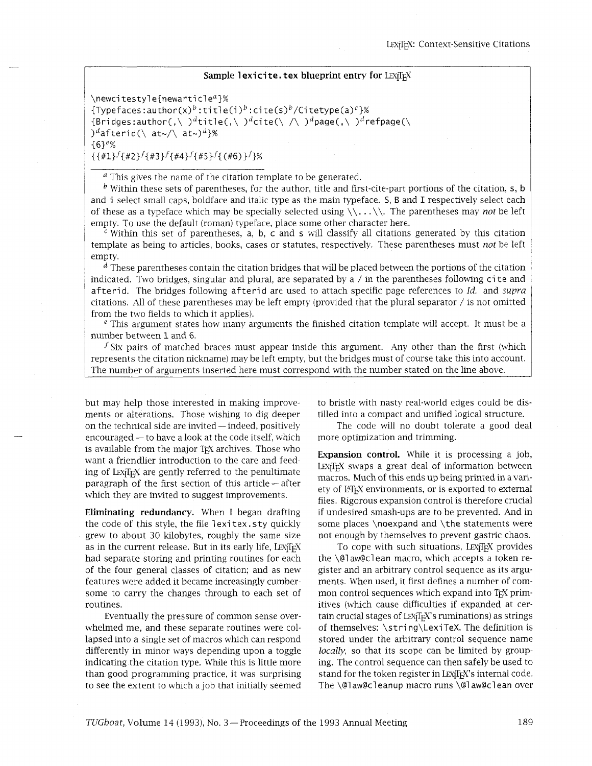## **Sample lexicite.tex blueprint entry for LEXTEX**

 $\neq$ <sup>2</sup>%  ${fTypefaces: author(x)<sup>b</sup>: title(i)<sup>b</sup>:cite(s)<sup>b</sup>/Citetype(a)<sup>c</sup>}$ % {Bridges:author(,\ )<sup>d</sup>title(,\ )<sup>d</sup>cite(\ /\ )<sup>d</sup>page(,\ )<sup>d</sup>refpage(\ )<sup>d</sup>afterid(\ at~/\ at~)<sup>d</sup>}% **{6Ie% {{#l}f{#2}f{#3}f{#4}f** {#5}f{(#6)}f}%

**<sup>a</sup>**This gives the name of the citation template to be generated.

 $\frac{b}{b}$  Within these sets of parentheses, for the author, title and first-cite-part portions of the citation, s, b and i select small caps, boldface and italic type as the main typeface. S, B and I respectively select each of these as a typeface which may be specially selected using  $\langle \cdot, \cdot, \cdot \rangle$ . The parentheses may *not* be left empty. To use the default (roman) typeface, place some other character here.

 $\epsilon$  Within this set of parentheses, a, b, c and s will classify all citations generated by this citation template as being to articles, books, cases or statutes, respectively. These parentheses must *not* be left empty.

 $<sup>d</sup>$  These parentheses contain the citation bridges that will be placed between the portions of the citation</sup> indicated. Two bridges, singular and plural, are separated by a / in the parentheses following ci te and afterid. The bridges following afterid are used to attach specific page references to Id. and *supra*  citations. All of these parentheses may be left empty (provided that the plural separator / is not omitted from the two fields to which it applies).

 $\epsilon$  This argument states how many arguments the finished citation template will accept. It must be a number between 1 and 6.

 $f$  Six pairs of matched braces must appear inside this argument. Any other than the first (which represents the citation nickname) may be left empty, but the bridges must of course take this into account. The number of arguments inserted here must correspond with the number stated on the line above.

but may help those interested in making improvements or alterations. Those wishing to dig deeper on the technical side are invited — indeed, positively<br>encouraged — to have a look at the code itself, which is available from the major T<sub>F</sub>X archives. Those who want a friendlier introduction to the care and feeding of LEX<sub>I</sub>I<sub>E</sub>X are gently referred to the penultimate paragraph of the first section of this article — after which they are invited to suggest improvements.

**Eliminating redundancy.** When I began drafting the code of this style, the file 1 exitex. sty quickly grew to about 30 kilobytes, roughly the same size as in the current release. But in its early life, LEXTEX had separate storing and printing routines for each of the four general classes of citation; and as new features were added it became increasingly cumbersome to carry the changes through to each set of routines.

Eventually the pressure of common sense overwhelmed me, and these separate routines were collapsed into a single set of macros which can respond differently in minor ways depending upon a toggle indicating the citation type. While this is little more than good programming practice, it was surprising to see the extent to which a job that initially seemed to bristle with nasty real-world edges could be distilled into a compact and unified logical structure.

The code will no doubt tolerate a good deal more optimization and trimming.

**Expansion control.** While it is processing a job, LEX<sub>I</sub>T<sub>E</sub>X swaps a great deal of information between macros. Much of this ends up being printed in a variety of LATEX environments, or is exported to external files. Rigorous expansion control is therefore crucial if undesired smash-ups are to be prevented. And in some places \noexpand and \the statements were not enough by themselves to prevent gastric chaos.

To cope with such situations, LEXIFX provides the \@l aw@cl ean macro, which accepts a token register and an arbitrary control sequence as its arguments. When used, it first defines a number of common control sequences which expand into T<sub>EX</sub> primitives (which cause difficulties if expanded at certain crucial stages of  $LexT<sub>F</sub>X$ 's ruminations) as strings of themselves: \st ri ng\Lexi TeX. The definition is stored under the arbitrary control sequence name *locally*, so that its scope can be limited by grouping. The control sequence can then safely be used to stand for the token register in LEX<sub>I</sub>T<sub>E</sub>X's internal code. The \@law@cleanup macro runs \@law@clean over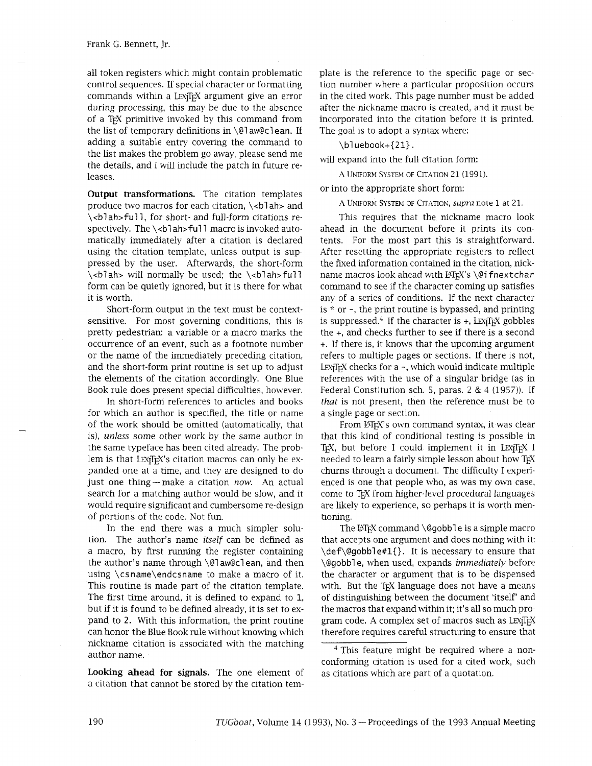all token registers which might contain problematic control sequences. If special character or formatting commands within a LEXTEX argument give an error during processing, this may be due to the absence of a T<sub>E</sub>X primitive invoked by this command from the list of temporary definitions in  $\qquad$ l aw@clean. If adding a suitable entry covering the command to the list makes the problem go away, please send me the details, and I will include the patch in future releases.

**Output transformations.** The citation templates produce two macros for each citation,  $\lt$ blah> and \<blah>full, for short- and full-form citations respectively. The \<blah>full macro is invoked automatically immediately after a citation is declared using the citation template, unless output is suppressed by the user. Afterwards, the short-form  $\cosh$  will normally be used; the  $\cosh$  ah>full form can be quietly ignored, but it is there for what it is worth.

Short-form output in the text must be contextsensitive. For most governing conditions, this is pretty pedestrian: a variable or a macro marks the occurrence of an event, such as a footnote number or the name of the immediately preceding citation, and the short-form print routine is set up to adjust the elements of the citation accordingly. One Blue Book rule does present special difficulties, however.

In short-form references to articles and books for which an author is specified, the title or name of the work should be omitted (automatically, that is), *unless* some other work by the same author in the same typeface has been cited already. The problem is that LEXTEX's citation macros can only be expanded one at a time, and they are designed to do just one thing-make a citation now. An actual search for a matching author would be slow, and it would require significant and cumbersome re-design of portions of the code. Not fun.

In the end there was a much simpler solution. The author's name *itself* can be defined as a macro, by first running the register containing the author's name through \@l aw@cl ean, and then using \csname\endcsname to make a macro of it. This routine is made part of the citation template. The first time around, it is defined to expand to 1, but if it is found to be defined already, it is set to expand to **2.** With this information, the print routine can honor the Blue Book rule without knowing whch nickname citation is associated with the matching author name.

**Looking ahead for signals.** The one element of a citation that cannot be stored by the citation template is the reference to the specific page or section number where a particular proposition occurs in the cited work. This page number must be added after the nickname macro is created, and it must be incorporated into the citation before it is printed. The goal is to adopt a syntax where:

\bluebook+{21}.

will expand into the full citation form:

A UNIFORM SYSTEM OF CITATION 21 (1991).

or into the appropriate short form:

A UNIFORM SYSTEM OF CITATION, supra note 1 at 21.

This requires that the nickname macro look ahead in the document before it prints its contents. For the most part this is straightforward. After resetting the appropriate registers to reflect the fixed information contained in the citation, nickname macros look ahead with MFX's \@ifnextchar command to see if the character coming up satisfies any of a series of conditions. If the next character is  $*$  or  $-$ , the print routine is bypassed, and printing is suppressed.<sup>4</sup> If the character is  $+$ , LEX<sub>I</sub>T<sub>E</sub>X gobbles the +, and checks further to see if there is a second +. If there is, it knows that the upcoming argument refers to multiple pages or sections. If there is not, LEX<sub>I</sub>T<sub>E</sub>X checks for a  $-$ , which would indicate multiple references with the use of a singular bridge (as in Federal Constitution sch. 5, paras. 2 & 4 (1957)). If *that* is not present, then the reference must be to a single page or section.

From LATEX'S own command syntax, it was clear that this kind of conditional testing is possible in TEX, but before I could implement it in LEXTEX I needed to learn a fairly simple lesson about how TFX churns through a document. The difficulty I experienced is one that people who, as was my own case, come to TEX from higher-level procedural languages are likely to experience, so perhaps it is worth mentioning.

The  $MFX$  command  $\qquad$ @gobble is a simple macro that accepts one argument and does nothing with it: \def\@gobbl e#l(}. It is necessary to ensure that \@gobbl e, when used, expands *immediately* before the character or argument that is to be dispensed with. But the TEX language does not have a means of distinguishing between the document 'itself' and the macros that expand within it; it's all so much program code. A complex set of macros such as  $Lexifrx$ therefore requires careful structuring to ensure that

<sup>&</sup>lt;sup>4</sup> This feature might be required where a nonconforming citation is used for a cited work, such as citations which are part of a quotation.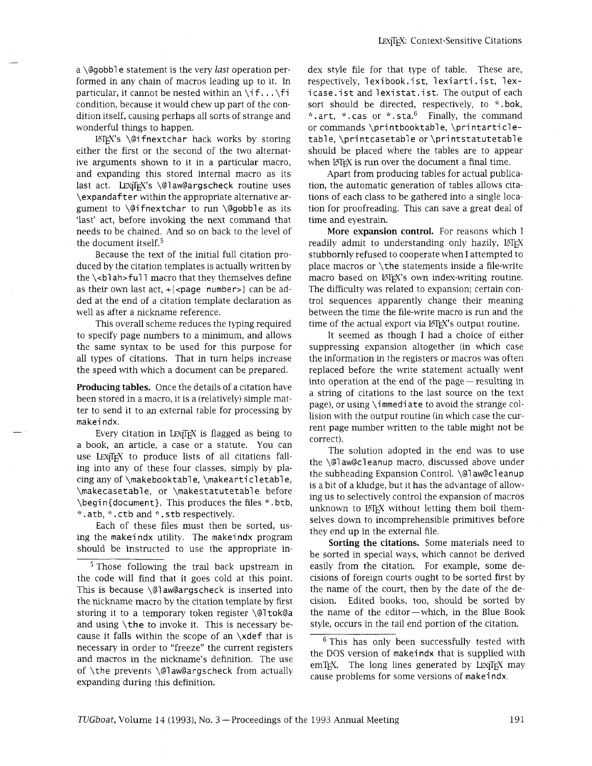a \@gobble statement is the very last operation performed in any chain of macros leading up to it. In particular, it cannot be nested within an  $\iota$ if... $\iota$ fi condition, because it would chew up part of the condition itself, causing perhaps all sorts of strange and wonderful things to happen.

WX's \@ifnextchar hack works by storing either the first or the second of the two alternative arguments shown to it in a particular macro, and expanding this stored internal macro as its last act. LEXjIFX's \@law@argscheck routine uses \expandafter withn the appropriate alternative argument to \@ifnextchar to run \@gobble as its 'last' act, before invoking the next command that needs to be chained. And so on back to the level of the document itself. $5$ 

Because the text of the initial full citation produced by the citation templates is actually written by the  $\cosh$  ah>full macro that they themselves define as their own last act,  $+\{\leq p\}$  number>} can be added at the end of a citation template declaration as well as after a nickname reference.

This overall scheme reduces the typing required to specify page numbers to a minimum, and allows the same syntax to be used for this purpose for all types of citations. That in turn helps increase the speed with which a document can be prepared.

Producing tables. Once the details of a citation have been stored in a macro, it is a (relatively) simple matter to send it to an external table for processing by makei ndx.

Every citation in LEX<sub>IIF</sub>X is flagged as being to a book, an article, a case or a statute. You can use LEXTEX to produce lists of all citations falling into any of these four classes, simply by placing any of \makebooktable, \makearticletable, \makecasetable, or \makestatutetab1 e before \begin{document}. This produces the files \*.btb, \*. atb, \*. ctb and \*. stb respectively.

Each of these files must then be sorted, using the makei ndx utility. The makei ndx program should be instructed to use the appropriate in-

 $5$  Those following the trail back upstream in the code will find that it goes cold at this point. This is because  $\qquad$ @law@argscheck is inserted into the nickname macro by the citation template by first storing it to a temporary token register \@l tok@a and using \the to invoke it. This is necessary because it falls within the scope of an  $\setminus$ xdef that is necessary in order to "freeze" the current registers and macros in the nickname's definition. The use of \the prevents \@law@argscheck from actually expanding during this definition.

dex style file for that type of table. These are, respectively, lexibook. ist, lexiarti. ist, lexicase. ist and lexistat. ist. The output of each sort should be directed, respectively, to \*. bok, \* .art, \* .cas or \* .sta.<sup>6</sup> Finally, the command or commands \printbooktable, \printarticletable, \printcasetable or \printstatutetable should be placed where the tables are to appear when LATEX is run over the document a final time.

Apart from producing tables for actual publication, the automatic generation of tables allows citations of each class to be gathered into a single location for proofreading. This can save a great deal of time and eyestrain.

More expansion control. For reasons which I readily admit to understanding only hazily, LATEX stubbornly refused to cooperate when I attempted to place macros or \the statements inside a file-write macro based on LATEX's own index-writing routine. The difficulty was related to expansion; certain control sequences apparently change their meaning between the time the file-write macro is run and the time of the actual export via LATEX's output routine.

It seemed as though I had a choice of either suppressing expansion altogether (in which case the information in the registers or macros was often replaced before the write statement actually went into operation at the end of the page—resulting in a string of citations to the last source on the text page), or using \immediate to avoid the strange collision with the output routine (in which case the current page number written to the table might not be correct).

The solution adopted in the end was to use the \@l aw@cl eanup macro, discussed above under the subheading Expansion Control. \@l aw@cl eanup is a bit of a kludge, but it has the advantage of allowing us to selectively control the expansion of macros unknown to LATEX without letting them boil themselves down to incomprehensible primitives before they end up in the external file.

Sorting the citations. Some materials need to be sorted in special ways, which cannot be derived easily from the citation. For example, some decisions of foreign courts ought to be sorted first by the name of the court, then by the date of the decision. Edited books, too, should be sorted by the name of the editor-which, in the Blue Book style, occurs in the tail end portion of the citation.

 $6$  This has only been successfully tested with the DOS version of makeindx that is supplied with emTEX. The long lines generated by LEXTEX may cause problems for some versions of makei ndx.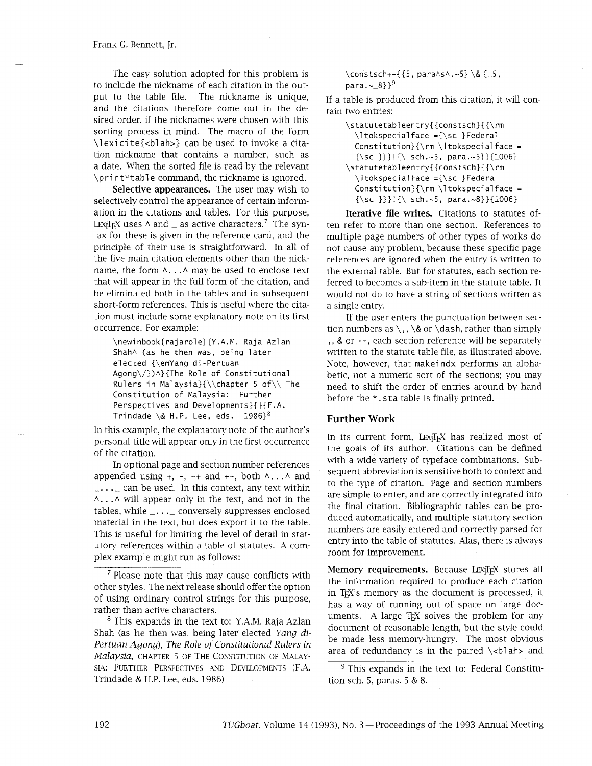The easy solution adopted for this problem is to include the nickname of each citation in the output to the table file. The nickname is unique, and the citations therefore come out in the desired order, if the nicknames were chosen with this sorting process in mind. The macro of the form \l exi ci te{<bl ah>} can be used to invoke a citation nickname that contains a number, such as a date. When the sorted file is read by the relevant \print\*table command, the nickname is ignored.

**Selective appearances.** The user may wish to selectively control the appearance of certain information in the citations and tables. For this purpose, LEX<sub>I</sub>T<sub>E</sub>X uses  $\land$  and  $\angle$  as active characters.<sup>7</sup> The syntax for these is given in the reference card, and the principle of their use is straightforward. In all of the five main citation elements other than the nickname, the form  $\land \dots \land$  may be used to enclose text that will appear in the full form of the citation, and be eliminated both in the tables and in subsequent short-form references. This is useful where the citation must include some explanatory note on its first occurrence. For example:

\newinbook{rajarole}{Y.A.M. Raja Azlan Shah^ (as he then was, being later elected {\emYang di-Pertuan Agong\/})A}{The Role of Constitutional Rulers in Malaysia}{\\chapter 5 of\\ The Constitution of Malaysia: Further Perspectives and Developments}{}{F.A. Trindade \& H.P. Lee, eds.  $1986$ }<sup>8</sup>

In this example, the explanatory note of the author's personal title will appear only in the first occurrence of the citation.

In optional page and section number references appended using  $+$ ,  $-$ ,  $+$  and  $+$ -, both  $\land \dots \land$  and  $\ldots$  can be used. In this context, any text within **A.. .A** will appear only in the text, and not in the tables, while  $\frac{1}{2}$ ... conversely suppresses enclosed material in the text, but does export it to the table. This is useful for limiting the level of detail in statutory references within a table of statutes. A complex example might run as follows:

<sup>7</sup> Please note that this may cause conflicts with other styles. The next release should offer the option of using ordinary control strings for ths purpose, rather than active characters.

 $8$  This expands in the text to: Y.A.M. Raja Azlan Shah (as he then was, being later elected *Yang* di-*Pertuan Agong), The Role of Constitutional Rulers in*  Malaysia, CHAPTER 5 OF THE CONSTITUTION OF MALAY-SIA: FURTHER PERSPECTIVES AND DEVELOPMENTS (F.A. Trindade & H.P. Lee, eds. 1986)

\constsch+-{{5, paraAsA.-5}\& (-5, para. --B}}~

If a table is produced from this citation, it will contain two entries:

| \statutetableentry{{constsch}{{\rm      |
|-----------------------------------------|
| \ltokspecialface ={\sc }Federal         |
| $Constitution$ }{\rm \ltokspecialface = |
| {\sc }}}!{\ sch.~5, para.~5}}{1006}     |
| \statutetableentry{{constsch}{{\rm      |
| \ltokspecialface ={\sc }Federal         |
| $Constitution$ }{\rm \ltokspecialface = |
| {\sc }}}!{\ sch.~5, para.~8}}{1006}     |

**Iterative file writes.** Citations to statutes often refer to more than one section. References to multiple page numbers of other types of works do not cause any problem, because these specific page references are ignored when the entry is written to the external table. But for statutes, each section referred to becomes a sub-item in the statute table. It would not do to have a string of sections written as a single entry.

If the user enters the punctuation between section numbers as  $\backslash$ ,  $\&$  or  $\dagger$  ash, rather than simply , , & or --, each section reference will be separately written to the statute table file, as illustrated above. Note, however, that makei ndx performs an alphabetic, not a numeric sort of the sections; you may need to shift the order of entries around by hand before the \*. sta table is finally printed.

## **Further Work**

In its current form, LEX<sub>I</sub>T<sub>F</sub>X has realized most of the goals of its author. Citations can be defined with a wide variety of typeface combinations. Subsequent abbreviation is sensitive both to context and to the type of citation. Page and section numbers are simple to enter, and are correctly integrated into the final citation. Bibliographic tables can be produced automatically, and multiple statutory section numbers are easily entered and correctly parsed for entry into the table of statutes. Alas, there is always room for improvement.

**Memory requirements.** Because LEXTEX stores all the information required to produce each citation in TEX'S memory as the document is processed, it has a way of running out of space on large documents. A large  $T_F X$  solves the problem for any document of reasonable length, but the style could be made less memory-hungry. The most obvious area of redundancy is in the paired  $\cosh$  and

 $9$  This expands in the text to: Federal Constitution sch. 5, paras. 5 & 8.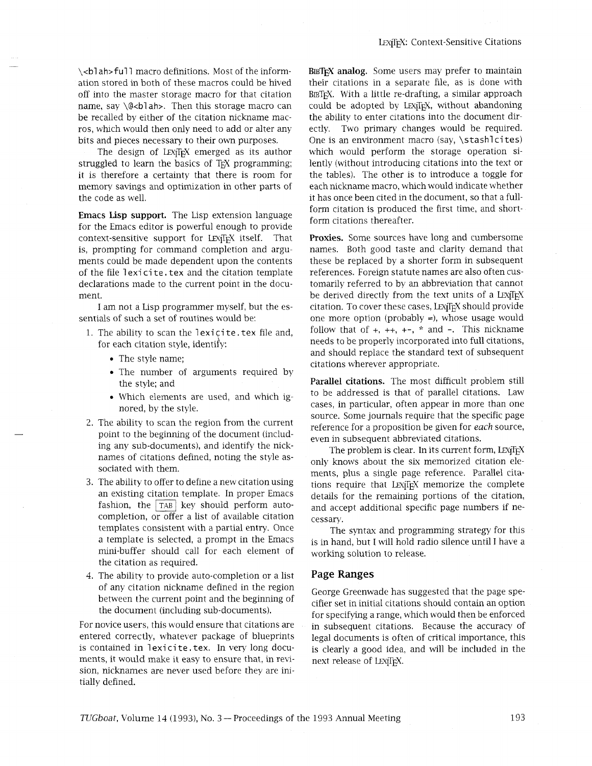\<blah>full macro definitions. Most of the information stored in both of these macros could be hived off into the master storage macro for that citation name, say \@<blah>. Then this storage macro can be recalled by either of the citation nickname macros, which would then only need to add or alter any bits and pieces necessary to their own purposes.

The design of LEX<sub>I</sub>T<sub>F</sub>X emerged as its author struggled to learn the basics of T<sub>F</sub>X programming; it is therefore a certainty that there is room for memory savings and optimization in other parts of the code as well.

**Emacs Lisp support.** The Lisp extension language for the Emacs editor is powerful enough to provide context-sensitive support for LEX<sub>IIF</sub>X itself. That is, prompting for command completion and arguments could be made dependent upon the contents of the file lexicite.tex and the citation template declarations made to the current point in the document.

I am not a Lisp programmer myself, but the essentials of such a set of routines would be:

- 1. The ability to scan the lexicite. tex file and, for each citation style, identify:
	- The style name;
	- The number of arguments required by the style; and
	- Which elements are used, and whch ignored, by the style.
- 2. The ability to scan the region from the current point to the beginning of the document (including any sub-documents), and identify the nicknames of citations defined, noting the style associated with them.
- 3. The ability to offer to define a new citationusing an existing citation template. In proper Emacs fashion, the  $TAB$  key should perform autocompletion, or offer a list of available citation templates consistent with a partial entry. Once a template is selected, a prompt in the Emacs mini-buffer should call for each element of the citation as required.
- 4. The ability to provide auto-completion or a list of any citation nickname defined in the region between the current point and the beginning of the document (including sub-documents).

For novice users, this would ensure that citations are entered correctly, whatever package of blueprints is contained in lexicite.tex. In very long documents, it would make it easy to ensure that, in revision, nicknames are never used before they are initially defined.

**BIBTEX analog,** Some users may prefer to maintain their citations in a separate file, as is done with BIBTEX. With a little re-drafting, a similar approach could be adopted by LEXjIFX, without abandoning the ability to enter citations into the document directly. Two primary changes would be required. One is an environment macro (say, \stash1cites) which would perform the storage operation silently (without introducing citations into the text or the tables). The other is to introduce a toggle for each nickname macro, which would indicate whether it has once been cited in the document, so that a fullform citation is produced the first time, and shortform citations thereafter.

**Proxies.** Some sources have long and cumbersome names. Both good taste and clarity demand that these be replaced by a shorter form in subsequent references. Foreign statute names are also often customarily referred to by an abbreviation that cannot be derived directly from the text units of a LEXIFY. citation. To cover these cases, LEX<sub>I</sub>T<sub>F</sub>X should provide one more option (probably =), whose usage would follow that of  $+, ++, +-, *$  and  $-$ . This nickname needs to be properly incorporated into full citations, and should replace the standard text of subsequent citations wherever appropriate.

**Parallel citations.** The most difficult problem still to be addressed is that of parallel citations. Law cases, in particular, often appear in more than one source. Some journals require that the specific page reference for a proposition be given for each source, even in subsequent abbreviated citations.

The problem is clear. In its current form, LEXTEX only knows about the six memorized citation elements, plus a single page reference. Parallel citations require that LEXTEX memorize the complete details for the remaining portions of the citation, and accept additional specific page numbers if necessary.

The syntax and programming strategy for ths is in hand, but I will hold radio silence until I have a working solution to release.

### **Page Ranges**

George Greenwade has suggested that the page specifier set in initial citations should contain an option for specifying a range, which would then be enforced in subsequent citations. Because the accuracy of legal documents is often of critical importance, this is clearly a good idea, and will be included in the next release of LEXTFX.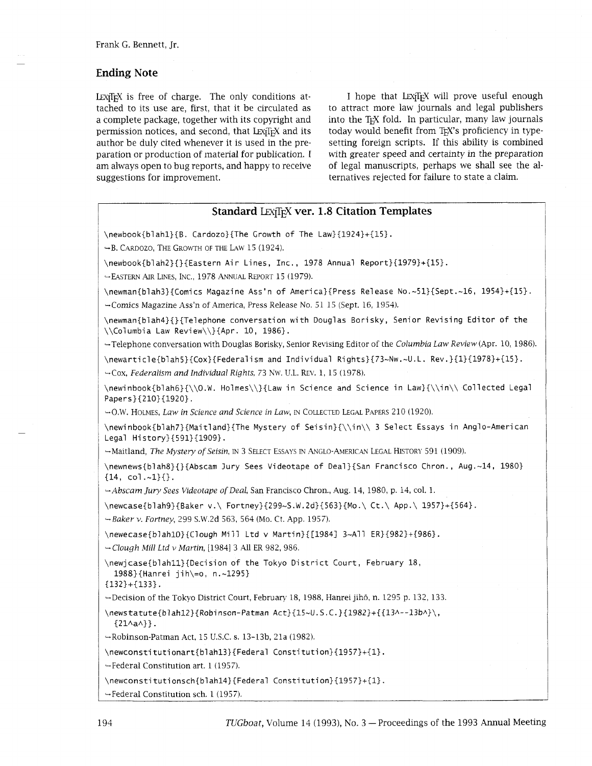# **Ending Note**

LEX<sub>I</sub>T<sub>E</sub>X is free of charge. The only conditions attached to its use are, first, that it be circulated as a complete package, together with its copyright and permission notices, and second, that LEXTEX and its author be duly cited whenever it is used in the preparation or production of material for publication. I am always open to bug reports, and happy to receive suggestions for improvement.

I hope that LEXTEX will prove useful enough to attract more law journals and legal publishers into the TEX fold. In particular, many law journals today would benefit from TEX's proficiency in typesetting foreign scripts. If this ability is combined with greater speed and certainty in the preparation of legal manuscripts, perhaps we shall see the alternatives rejected for failure to state a claim.

# **Standard LEXTEX ver. 1.8 Citation Templates**

\newbook{blahl}{B. Cardozo}{The Growth of The Law}{1924}+{15}.

 $\rightarrow$  B. CARDOZO, THE GROWTH OF THE LAW 15 (1924).

\newbook{blah2){}{Eastern Air Lines, Inc., 1978 Annual Report}{1979}+{15}.

-FASTERN **AIR** LINES, INC., 1978 ANNUAL REPORT 15 (1979).

\newman{blah3}{Comics Magazine Ass'n of America}{Press Release No.-Sl}{Sept.-16, 19541+{15}. -Comics Magazine Ass'n of America, Press Release No. 51 15 (Sept. 16, 1954).

\newman{blah4}{}{Telephone conversation with Douglas Borisky, Senior Revising Editor of the \\Columbia Law Review\\}{Apr. 10, 1986}.

-Telephone conversation with Douglas Borisky, Senior Revismg Edltor of the *Columbla Law Review* (Apr. 10, 1986).

**\newarticle{blah5}{Cox}{Federalism** and Individual Rights}{73-Nw.-U.L. Rev.}{1}{1978}+{15}.

+Cox, *Federalism and Individual Rights,* 73 Nw. U.L. REV. 1, 15 (1978).

\newinbook{blahG}{\\O.W. Holmes\\}{Law in Science and Science in Law}{\\in\\ Collected Legal Papers}{210}{1920}.

-0.W. HOLMES, *Law in Science and Science in Law, IN* COLLECTED LEGAL PAPERS 210 (1920).

\newinbook{blah7}{Maitland}{The Mystery of Seisin}{\\in\\ 3 Select Essays in Anglo-American Legal History}{591}{1909}.

-Maitland, *The Mystery of Seisin, IN* 3 SELECT ESSAYS IN ANGLO-AMERICAN LEGAL HISTORY 591 (1909).

\newnews{blah8}{}{Abscam Jury Sees Videotape of Deal}{San Francisco Chron., Aug.-14, 1980)  ${14, col.-1}{}.$ 

*-Abscam Jury Sees V~deotape of Deal,* San Francisco Chron., Aug. 14, 1980, p. 14, col. 1.

 $\newcase{blank9}{299-S.W. 2d}{563}{Mo.\ Ct.\ App.\ 1957}{+}{564}.$ 

*-Baker v. Fortney,* 299 S.W.2d 563, 564 (Mo. Ct. App. 1957).

**\newecase{blahlO){Clough** Mill Ltd v Martin}{[1984] 3-All ER}{982}+{986}.

*-Clough Mill Ltd v Martin,* [I9841 3 All ER 982, 986.

\newjcase{blahll){Deci sion of the Tokyo District Court, February 18, 1988}{Hanrei jih\=o, n.~1295}

{l32}+{133}.

-Decision of the Tokyo District Court, February 18, 1988, Hanrei jihb, n. 1295 p. 132, 133.

\newstatute{blah12}{Robinson-Patman Act}{15~U.S.C.}{1982}+{{13^--13b^}\,  $\{21 \land a \land \}$ .

-Robinson-Patman Act, 15 U.S.C. s. 13-13b, 21a (1982).

\newconsti tuti onart{blahl3}{Federal Consti tution}{1957}+{1}.

-Federal Constitution art. 1 (1957).

\newconsti tutionsch{blahl4}{Federal Consti tution}{l957)+{1}.

-Federal Constitution sch. 1 (1957).